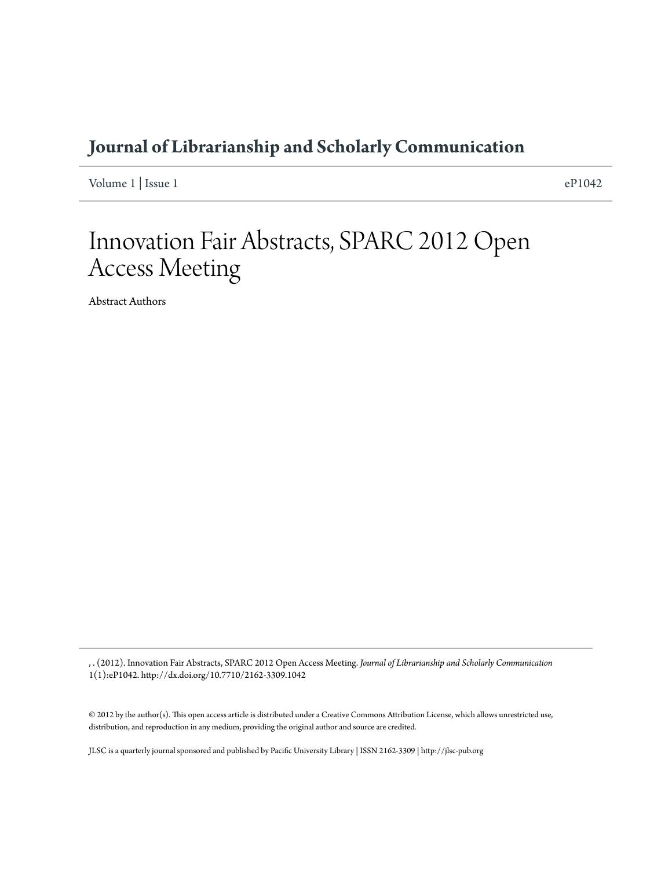### **[Journal of Librarianship and Scholarly Communication](http://jlsc-pub.org/jlsc)**

Volume  $1 \mid$  Issue  $1 \mid$ 

# Innovation Fair Abstracts, SPARC 2012 Open Access Meeting

Abstract Authors

, . (2012). Innovation Fair Abstracts, SPARC 2012 Open Access Meeting. *Journal of Librarianship and Scholarly Communication* 1(1):eP1042. http://dx.doi.org/10.7710/2162-3309.1042

© 2012 by the author(s). This open access article is distributed under a Creative Commons Attribution License, which allows unrestricted use, distribution, and reproduction in any medium, providing the original author and source are credited.

JLSC is a quarterly journal sponsored and published by Pacific University Library | ISSN 2162-3309 | http://jlsc-pub.org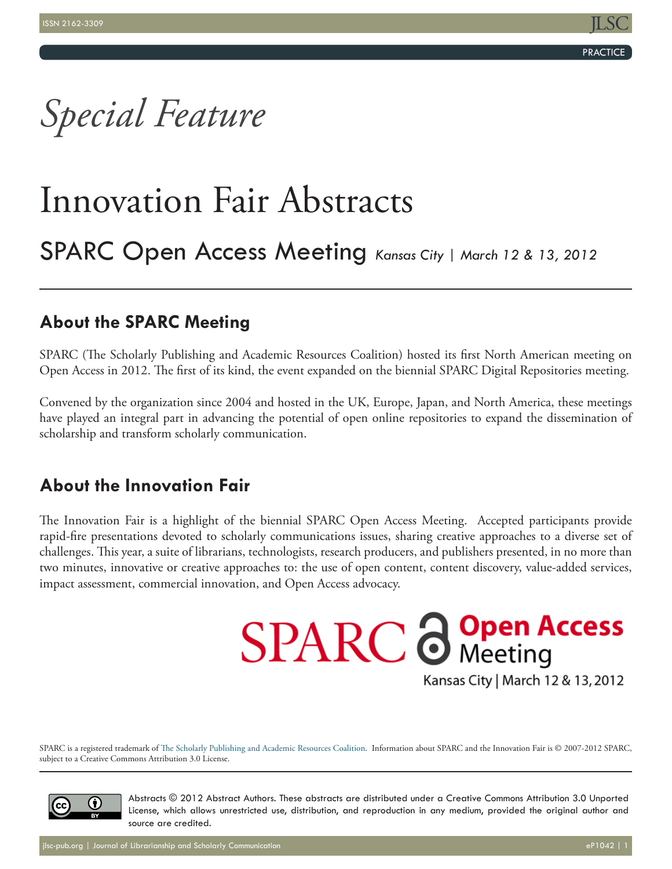**PRACTICE** 

# *Special Feature*

# Innovation Fair Abstracts

## SPARC Open Access Meeting *Kansas City | March 12 & 13, 2012*

## **About the SPARC Meeting**

SPARC (The Scholarly Publishing and Academic Resources Coalition) hosted its first North American meeting on Open Access in 2012. The first of its kind, the event expanded on the biennial SPARC Digital Repositories meeting.

Convened by the organization since 2004 and hosted in the UK, Europe, Japan, and North America, these meetings have played an integral part in advancing the potential of open online repositories to expand the dissemination of scholarship and transform scholarly communication.

### **About the Innovation Fair**

The Innovation Fair is a highlight of the biennial SPARC Open Access Meeting. Accepted participants provide rapid-fire presentations devoted to scholarly communications issues, sharing creative approaches to a diverse set of challenges. This year, a suite of librarians, technologists, research producers, and publishers presented, in no more than two minutes, innovative or creative approaches to: the use of open content, content discovery, value-added services, impact assessment, commercial innovation, and Open Access advocacy.

> **SPARC @ Open Access** Kansas City | March 12 & 13, 2012

SPARC is a registered trademark of [The Scholarly Publishing and Academic Resources Coalition.](http://www.arl.org/sparc/index.shtml) Information about SPARC and the Innovation Fair is © 2007-2012 SPARC, subject to a Creative Commons Attribution 3.0 License.



Abstracts © 2012 Abstract Authors. These abstracts are distributed under a Creative Commons Attribution 3.0 Unported License, which allows unrestricted use, distribution, and reproduction in any medium, provided the original author and source are credited.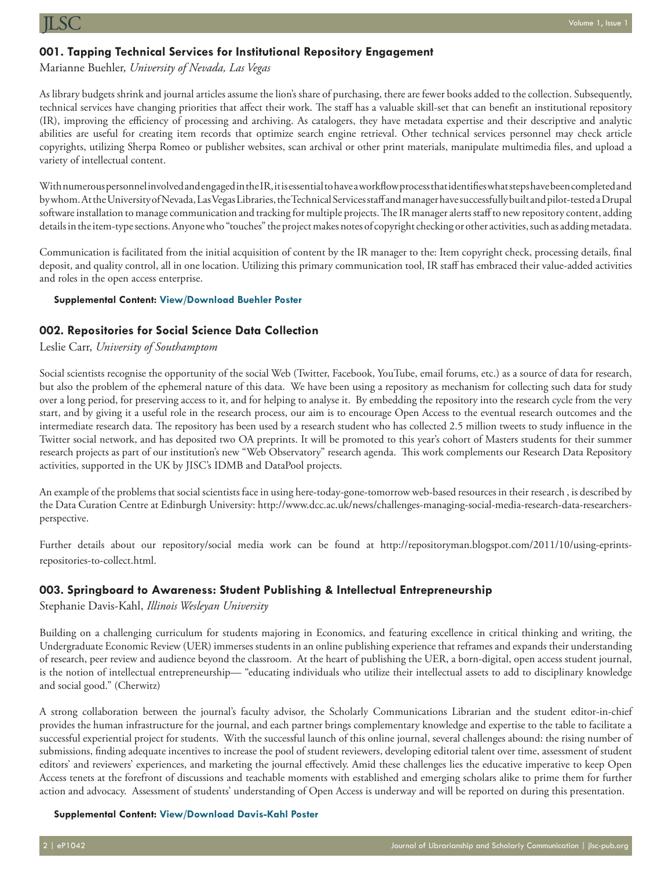#### **001. Tapping Technical Services for Institutional Repository Engagement**

Marianne Buehler, *University of Nevada, Las Vegas* 

As library budgets shrink and journal articles assume the lion's share of purchasing, there are fewer books added to the collection. Subsequently, technical services have changing priorities that affect their work. The staff has a valuable skill-set that can benefit an institutional repository (IR), improving the efficiency of processing and archiving. As catalogers, they have metadata expertise and their descriptive and analytic abilities are useful for creating item records that optimize search engine retrieval. Other technical services personnel may check article copyrights, utilizing Sherpa Romeo or publisher websites, scan archival or other print materials, manipulate multimedia files, and upload a variety of intellectual content.

With numerous personnel involved and engaged in the IR, it is essential to have a workflow process that identifies what steps have been completed and by whom. At the University of Nevada, Las Vegas Libraries, the Technical Services staff and manager have successfully built and pilot-tested a Drupal software installation to manage communication and tracking for multiple projects. The IR manager alerts staff to new repository content, adding details in the item-type sections. Anyone who "touches" the project makes notes of copyright checking or other activities, such as adding metadata.

Communication is facilitated from the initial acquisition of content by the IR manager to the: Item copyright check, processing details, final deposit, and quality control, all in one location. Utilizing this primary communication tool, IR staff has embraced their value-added activities and roles in the open access enterprise.

#### **Supplemental Content: [View/Download Buehler Poster](http://jlsc-pub.org/cgi/viewcontent.cgi?filename=0&article=1042&context=jlsc&type=additional)**

#### **002. Repositories for Social Science Data Collection**

#### Leslie Carr, *University of Southamptom*

Social scientists recognise the opportunity of the social Web (Twitter, Facebook, YouTube, email forums, etc.) as a source of data for research, but also the problem of the ephemeral nature of this data. We have been using a repository as mechanism for collecting such data for study over a long period, for preserving access to it, and for helping to analyse it. By embedding the repository into the research cycle from the very start, and by giving it a useful role in the research process, our aim is to encourage Open Access to the eventual research outcomes and the intermediate research data. The repository has been used by a research student who has collected 2.5 million tweets to study influence in the Twitter social network, and has deposited two OA preprints. It will be promoted to this year's cohort of Masters students for their summer research projects as part of our institution's new "Web Observatory" research agenda. This work complements our Research Data Repository activities, supported in the UK by JISC's IDMB and DataPool projects.

An example of the problems that social scientists face in using here-today-gone-tomorrow web-based resources in their research , is described by the Data Curation Centre at Edinburgh University: [http://www.dcc.ac.uk/news/challenges-](http://www.dcc.ac.uk/news/challenges-managing-social-media-research-data-researchers-perspective)managing-social-media-research-data-researchersperspective.

Further details about our repository/social media work can be found at [http://repositoryman.blogspot.com/2011/10/using-eprints](http://repositoryman.blogspot.com/2011/10/using-eprints-repositories-to-collect.html)[repositories-to-collect.html](http://repositoryman.blogspot.com/2011/10/using-eprints-repositories-to-collect.html).

#### **003. Springboard to Awareness: Student Publishing & Intellectual Entrepreneurship**

Stephanie Davis-Kahl, *Illinois Wesleyan University*

Building on a challenging curriculum for students majoring in Economics, and featuring excellence in critical thinking and writing, the Undergraduate Economic Review (UER) immerses students in an online publishing experience that reframes and expands their understanding of research, peer review and audience beyond the classroom. At the heart of publishing the UER, a born-digital, open access student journal, is the notion of intellectual entrepreneurship— "educating individuals who utilize their intellectual assets to add to disciplinary knowledge and social good." (Cherwitz)

A strong collaboration between the journal's faculty advisor, the Scholarly Communications Librarian and the student editor-in-chief provides the human infrastructure for the journal, and each partner brings complementary knowledge and expertise to the table to facilitate a successful experiential project for students. With the successful launch of this online journal, several challenges abound: the rising number of submissions, finding adequate incentives to increase the pool of student reviewers, developing editorial talent over time, assessment of student editors' and reviewers' experiences, and marketing the journal effectively. Amid these challenges lies the educative imperative to keep Open Access tenets at the forefront of discussions and teachable moments with established and emerging scholars alike to prime them for further action and advocacy. Assessment of students' understanding of Open Access is underway and will be reported on during this presentation.

#### **Supplemental Content: [View/Download Davis-Kahl Poster](http://jlsc-pub.org/cgi/viewcontent.cgi?filename=1&article=1042&context=jlsc&type=additional)**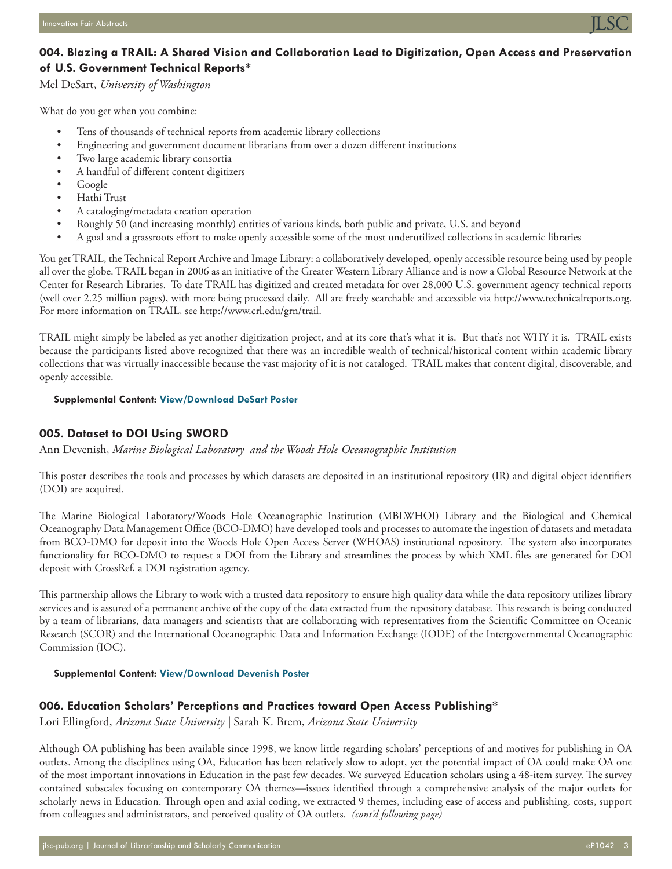

#### **004. Blazing a TRAIL: A Shared Vision and Collaboration Lead to Digitization, Open Access and Preservation of U.S. Government Technical Reports\***

Mel DeSart, *University of Washington*

What do you get when you combine:

- Tens of thousands of technical reports from academic library collections
- Engineering and government document librarians from over a dozen different institutions
- Two large academic library consortia
- A handful of different content digitizers
- Google
- Hathi Trust
- A cataloging/metadata creation operation
- Roughly 50 (and increasing monthly) entities of various kinds, both public and private, U.S. and beyond
- A goal and a grassroots effort to make openly accessible some of the most underutilized collections in academic libraries

You get TRAIL, the Technical Report Archive and Image Library: a collaboratively developed, openly accessible resource being used by people all over the globe. TRAIL began in 2006 as an initiative of the Greater Western Library Alliance and is now a Global Resource Network at the Center for Research Libraries. To date TRAIL has digitized and created metadata for over 28,000 U.S. government agency technical reports (well over 2.25 million pages), with more being processed daily. All are freely searchable and accessible via [http://www.technicalreports.org.](http://www.technicalreports.org) For more information on TRAIL, see [http://www.crl.edu/grn/trail.](http://www.crl.edu/grn/trail)

TRAIL might simply be labeled as yet another digitization project, and at its core that's what it is. But that's not WHY it is. TRAIL exists because the participants listed above recognized that there was an incredible wealth of technical/historical content within academic library collections that was virtually inaccessible because the vast majority of it is not cataloged. TRAIL makes that content digital, discoverable, and openly accessible.

#### **Supplemental Content: [View/Download DeSart Poster](http://jlsc-pub.org/cgi/viewcontent.cgi?filename=2&article=1042&context=jlsc&type=additional)**

#### **005. Dataset to DOI Using SWORD**

Ann Devenish, *Marine Biological Laboratory and the Woods Hole Oceanographic Institution*

This poster describes the tools and processes by which datasets are deposited in an institutional repository (IR) and digital object identifiers (DOI) are acquired.

The Marine Biological Laboratory/Woods Hole Oceanographic Institution (MBLWHOI) Library and the Biological and Chemical Oceanography Data Management Office (BCO-DMO) have developed tools and processes to automate the ingestion of datasets and metadata from BCO-DMO for deposit into the Woods Hole Open Access Server (WHOAS) institutional repository. The system also incorporates functionality for BCO-DMO to request a DOI from the Library and streamlines the process by which XML files are generated for DOI deposit with CrossRef, a DOI registration agency.

This partnership allows the Library to work with a trusted data repository to ensure high quality data while the data repository utilizes library services and is assured of a permanent archive of the copy of the data extracted from the repository database. This research is being conducted by a team of librarians, data managers and scientists that are collaborating with representatives from the Scientific Committee on Oceanic Research (SCOR) and the International Oceanographic Data and Information Exchange (IODE) of the Intergovernmental Oceanographic Commission (IOC).

#### **Supplemental Content: [View/Download Devenish Poster](http://jlsc-pub.org/cgi/viewcontent.cgi?filename=3&article=1042&context=jlsc&type=additional)**

#### **006. Education Scholars' Perceptions and Practices toward Open Access Publishing\***

Lori Ellingford, *Arizona State University |* Sarah K. Brem, *Arizona State University*

Although OA publishing has been available since 1998, we know little regarding scholars' perceptions of and motives for publishing in OA outlets. Among the disciplines using OA, Education has been relatively slow to adopt, yet the potential impact of OA could make OA one of the most important innovations in Education in the past few decades. We surveyed Education scholars using a 48-item survey. The survey contained subscales focusing on contemporary OA themes—issues identified through a comprehensive analysis of the major outlets for scholarly news in Education. Through open and axial coding, we extracted 9 themes, including ease of access and publishing, costs, support from colleagues and administrators, and perceived quality of OA outlets. *(cont'd following page)*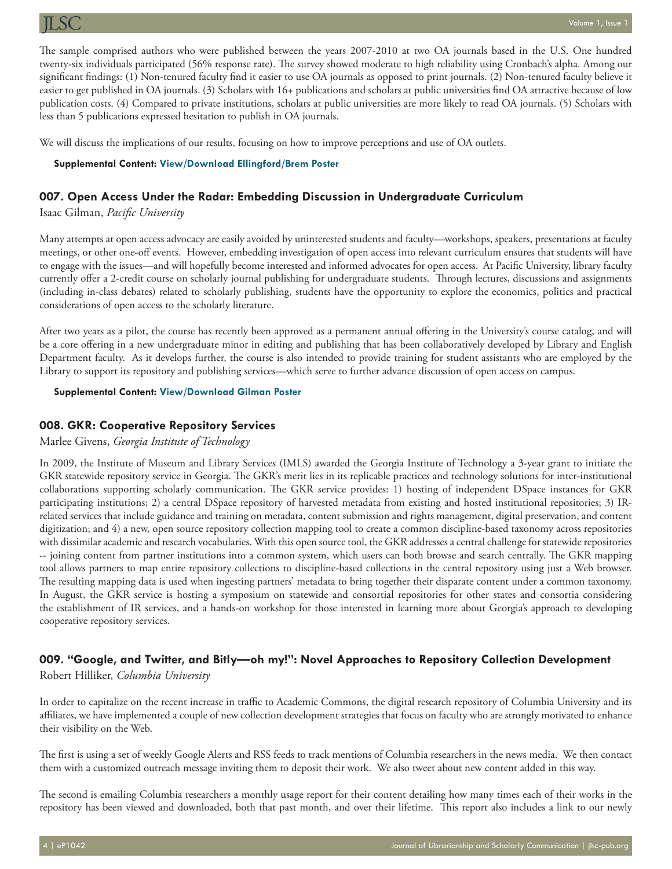The sample comprised authors who were published between the years 2007-2010 at two OA journals based in the U.S. One hundred twenty-six individuals participated (56% response rate). The survey showed moderate to high reliability using Cronbach's alpha. Among our significant findings: (1) Non-tenured faculty find it easier to use OA journals as opposed to print journals. (2) Non-tenured faculty believe it easier to get published in OA journals. (3) Scholars with 16+ publications and scholars at public universities find OA attractive because of low publication costs. (4) Compared to private institutions, scholars at public universities are more likely to read OA journals. (5) Scholars with less than 5 publications expressed hesitation to publish in OA journals.

We will discuss the implications of our results, focusing on how to improve perceptions and use of OA outlets.

#### **Supplemental Content: [View/Download Ellingford/Brem Poster](http://jlsc-pub.org/cgi/viewcontent.cgi?filename=4&article=1042&context=jlsc&type=additional)**

#### **007. Open Access Under the Radar: Embedding Discussion in Undergraduate Curriculum**

Isaac Gilman, *Pacific University*

Many attempts at open access advocacy are easily avoided by uninterested students and faculty—workshops, speakers, presentations at faculty meetings, or other one-off events. However, embedding investigation of open access into relevant curriculum ensures that students will have to engage with the issues—and will hopefully become interested and informed advocates for open access. At Pacific University, library faculty currently offer a 2-credit course on scholarly journal publishing for undergraduate students. Through lectures, discussions and assignments (including in-class debates) related to scholarly publishing, students have the opportunity to explore the economics, politics and practical considerations of open access to the scholarly literature.

After two years as a pilot, the course has recently been approved as a permanent annual offering in the University's course catalog, and will be a core offering in a new undergraduate minor in editing and publishing that has been collaboratively developed by Library and English Department faculty. As it develops further, the course is also intended to provide training for student assistants who are employed by the Library to support its repository and publishing services—which serve to further advance discussion of open access on campus.

#### **Supplemental Content: [View/Download Gilman Poster](http://jlsc-pub.org/cgi/viewcontent.cgi?filename=5&article=1042&context=jlsc&type=additional)**

#### **008. GKR: Cooperative Repository Services**

#### Marlee Givens, *Georgia Institute of Technology*

In 2009, the Institute of Museum and Library Services (IMLS) awarded the Georgia Institute of Technology a 3-year grant to initiate the GKR statewide repository service in Georgia. The GKR's merit lies in its replicable practices and technology solutions for inter-institutional collaborations supporting scholarly communication. The GKR service provides: 1) hosting of independent DSpace instances for GKR participating institutions; 2) a central DSpace repository of harvested metadata from existing and hosted institutional repositories; 3) IRrelated services that include guidance and training on metadata, content submission and rights management, digital preservation, and content digitization; and 4) a new, open source repository collection mapping tool to create a common discipline-based taxonomy across repositories with dissimilar academic and research vocabularies. With this open source tool, the GKR addresses a central challenge for statewide repositories -- joining content from partner institutions into a common system, which users can both browse and search centrally. The GKR mapping tool allows partners to map entire repository collections to discipline-based collections in the central repository using just a Web browser. The resulting mapping data is used when ingesting partners' metadata to bring together their disparate content under a common taxonomy. In August, the GKR service is hosting a symposium on statewide and consortial repositories for other states and consortia considering the establishment of IR services, and a hands-on workshop for those interested in learning more about Georgia's approach to developing cooperative repository services.

#### **009. "Google, and Twitter, and Bitly—oh my!": Novel Approaches to Repository Collection Development**

Robert Hilliker, *Columbia University* 

In order to capitalize on the recent increase in traffic to Academic Commons, the digital research repository of Columbia University and its affiliates, we have implemented a couple of new collection development strategies that focus on faculty who are strongly motivated to enhance their visibility on the Web.

The first is using a set of weekly Google Alerts and RSS feeds to track mentions of Columbia researchers in the news media. We then contact them with a customized outreach message inviting them to deposit their work. We also tweet about new content added in this way.

The second is emailing Columbia researchers a monthly usage report for their content detailing how many times each of their works in the repository has been viewed and downloaded, both that past month, and over their lifetime. This report also includes a link to our newly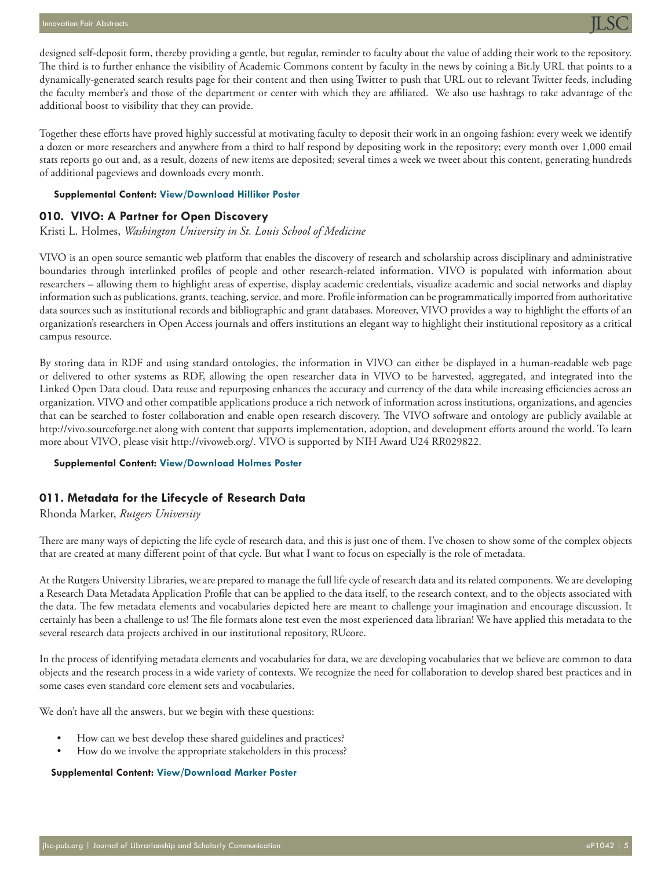

designed self-deposit form, thereby providing a gentle, but regular, reminder to faculty about the value of adding their work to the repository. The third is to further enhance the visibility of Academic Commons content by faculty in the news by coining a<Bit.ly> URL that points to a dynamically-generated search results page for their content and then using Twitter to push that URL out to relevant Twitter feeds, including the faculty member's and those of the department or center with which they are affiliated. We also use hashtags to take advantage of the additional boost to visibility that they can provide.

Together these efforts have proved highly successful at motivating faculty to deposit their work in an ongoing fashion: every week we identify a dozen or more researchers and anywhere from a third to half respond by depositing work in the repository; every month over 1,000 email stats reports go out and, as a result, dozens of new items are deposited; several times a week we tweet about this content, generating hundreds of additional pageviews and downloads every month.

#### **Supplemental Content: [View/Download Hilliker Poster](http://jlsc-pub.org/cgi/viewcontent.cgi?filename=6&article=1042&context=jlsc&type=additional)**

#### **010. VIVO: A Partner for Open Discovery**

#### Kristi L. Holmes, *Washington University in St. Louis School of Medicine*

VIVO is an open source semantic web platform that enables the discovery of research and scholarship across disciplinary and administrative boundaries through interlinked profiles of people and other research-related information. VIVO is populated with information about researchers – allowing them to highlight areas of expertise, display academic credentials, visualize academic and social networks and display information such as publications, grants, teaching, service, and more. Profile information can be programmatically imported from authoritative data sources such as institutional records and bibliographic and grant databases. Moreover, VIVO provides a way to highlight the efforts of an organization's researchers in Open Access journals and offers institutions an elegant way to highlight their institutional repository as a critical campus resource.

By storing data in RDF and using standard ontologies, the information in VIVO can either be displayed in a human-readable web page or delivered to other systems as RDF, allowing the open researcher data in VIVO to be harvested, aggregated, and integrated into the Linked Open Data cloud. Data reuse and repurposing enhances the accuracy and currency of the data while increasing efficiencies across an organization. VIVO and other compatible applications produce a rich network of information across institutions, organizations, and agencies that can be searched to foster collaboration and enable open research discovery. The VIVO software and ontology are publicly available at http://vivo.sourceforge.net along with content that supports implementation, adoption, and development efforts around the world. To learn more about VIVO, please visit http://vivoweb.org/. VIVO is supported by NIH Award U24 RR029822.

#### **Supplemental Content: [View/Download Holmes Poster](http://jlsc-pub.org/cgi/viewcontent.cgi?filename=7&article=1042&context=jlsc&type=additional)**

#### **011. Metadata for the Lifecycle of Research Data**

#### Rhonda Marker, *Rutgers University*

There are many ways of depicting the life cycle of research data, and this is just one of them. I've chosen to show some of the complex objects that are created at many different point of that cycle. But what I want to focus on especially is the role of metadata.

At the Rutgers University Libraries, we are prepared to manage the full life cycle of research data and its related components. We are developing a Research Data Metadata Application Profile that can be applied to the data itself, to the research context, and to the objects associated with the data. The few metadata elements and vocabularies depicted here are meant to challenge your imagination and encourage discussion. It certainly has been a challenge to us! The file formats alone test even the most experienced data librarian! We have applied this metadata to the several research data projects archived in our institutional repository, RUcore.

In the process of identifying metadata elements and vocabularies for data, we are developing vocabularies that we believe are common to data objects and the research process in a wide variety of contexts. We recognize the need for collaboration to develop shared best practices and in some cases even standard core element sets and vocabularies.

We don't have all the answers, but we begin with these questions:

- How can we best develop these shared guidelines and practices?
- How do we involve the appropriate stakeholders in this process?

#### **Supplemental Content: [View/Download Marker Poster](http://jlsc-pub.org/cgi/viewcontent.cgi?filename=8&article=1042&context=jlsc&type=additional)**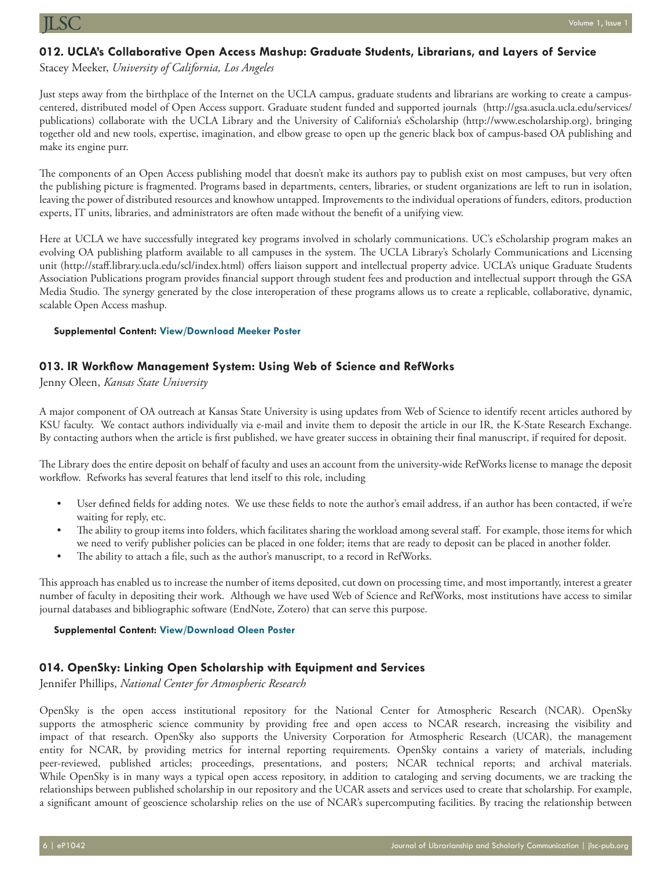#### **012. UCLA's Collaborative Open Access Mashup: Graduate Students, Librarians, and Layers of Service**

Stacey Meeker, *University of California, Los Angeles*

Just steps away from the birthplace of the Internet on the UCLA campus, graduate students and librarians are working to create a campuscentered, distributed model of Open Access support. Graduate student funded and supported journals [\(http://gsa.asucla.ucla.edu/services/](http://gsa.asucla.ucla.edu/services/publications) [publications](http://gsa.asucla.ucla.edu/services/publications)) collaborate with the UCLA Library and the University of California's eScholarship ([http://www.escholarship.org\)](http://www.escholarship.org), bringing together old and new tools, expertise, imagination, and elbow grease to open up the generic black box of campus-based OA publishing and make its engine purr.

The components of an Open Access publishing model that doesn't make its authors pay to publish exist on most campuses, but very often the publishing picture is fragmented. Programs based in departments, centers, libraries, or student organizations are left to run in isolation, leaving the power of distributed resources and knowhow untapped. Improvements to the individual operations of funders, editors, production experts, IT units, libraries, and administrators are often made without the benefit of a unifying view.

Here at UCLA we have successfully integrated key programs involved in scholarly communications. UC's eScholarship program makes an evolving OA publishing platform available to all campuses in the system. The UCLA Library's Scholarly Communications and Licensing unit [\(http://staff.library.ucla.edu/scl/index.html\)](http://staff.library.ucla.edu/scl/index.html) offers liaison support and intellectual property advice. UCLA's unique Graduate Students Association Publications program provides financial support through student fees and production and intellectual support through the GSA Media Studio. The synergy generated by the close interoperation of these programs allows us to create a replicable, collaborative, dynamic, scalable Open Access mashup.

#### **Supplemental Content: [View/Download Meeker Poster](http://jlsc-pub.org/cgi/viewcontent.cgi?filename=9&article=1042&context=jlsc&type=additional)**

#### **013. IR Workflow Management System: Using Web of Science and RefWorks**

Jenny Oleen, *Kansas State University*

A major component of OA outreach at Kansas State University is using updates from Web of Science to identify recent articles authored by KSU faculty. We contact authors individually via e-mail and invite them to deposit the article in our IR, the K-State Research Exchange. By contacting authors when the article is first published, we have greater success in obtaining their final manuscript, if required for deposit.

The Library does the entire deposit on behalf of faculty and uses an account from the university-wide RefWorks license to manage the deposit workflow. Refworks has several features that lend itself to this role, including

- User defined fields for adding notes. We use these fields to note the author's email address, if an author has been contacted, if we're waiting for reply, etc.
- The ability to group items into folders, which facilitates sharing the workload among several staff. For example, those items for which we need to verify publisher policies can be placed in one folder; items that are ready to deposit can be placed in another folder.
- The ability to attach a file, such as the author's manuscript, to a record in RefWorks.

This approach has enabled us to increase the number of items deposited, cut down on processing time, and most importantly, interest a greater number of faculty in depositing their work. Although we have used Web of Science and RefWorks, most institutions have access to similar journal databases and bibliographic software (EndNote, Zotero) that can serve this purpose.

#### **Supplemental Content: [View/Download Oleen Poster](http://jlsc-pub.org/cgi/viewcontent.cgi?filename=10&article=1042&context=jlsc&type=additional)**

#### **014. OpenSky: Linking Open Scholarship with Equipment and Services**

Jennifer Phillips, *National Center for Atmospheric Research*

OpenSky is the open access institutional repository for the National Center for Atmospheric Research (NCAR). OpenSky supports the atmospheric science community by providing free and open access to NCAR research, increasing the visibility and impact of that research. OpenSky also supports the University Corporation for Atmospheric Research (UCAR), the management entity for NCAR, by providing metrics for internal reporting requirements. OpenSky contains a variety of materials, including peer-reviewed, published articles; proceedings, presentations, and posters; NCAR technical reports; and archival materials. While OpenSky is in many ways a typical open access repository, in addition to cataloging and serving documents, we are tracking the relationships between published scholarship in our repository and the UCAR assets and services used to create that scholarship. For example, a significant amount of geoscience scholarship relies on the use of NCAR's supercomputing facilities. By tracing the relationship between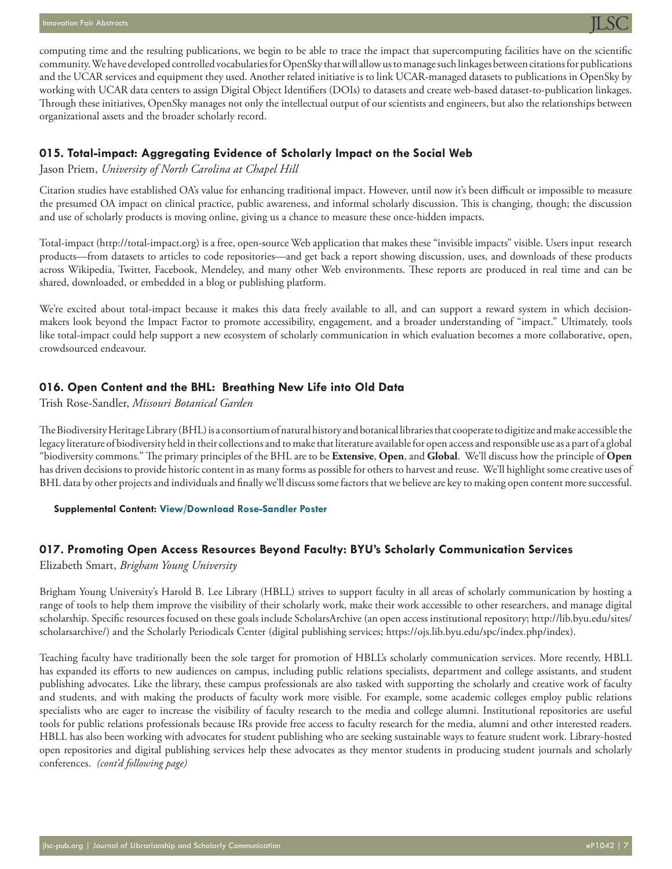

computing time and the resulting publications, we begin to be able to trace the impact that supercomputing facilities have on the scientific community. We have developed controlled vocabularies for OpenSky that will allow us to manage such linkages between citations for publications and the UCAR services and equipment they used. Another related initiative is to link UCAR-managed datasets to publications in OpenSky by working with UCAR data centers to assign Digital Object Identifiers (DOIs) to datasets and create web-based dataset-to-publication linkages. Through these initiatives, OpenSky manages not only the intellectual output of our scientists and engineers, but also the relationships between organizational assets and the broader scholarly record.

#### **015. Total-impact: Aggregating Evidence of Scholarly Impact on the Social Web**

Jason Priem, *University of North Carolina at Chapel Hill*

Citation studies have established OA's value for enhancing traditional impact. However, until now it's been difficult or impossible to measure the presumed OA impact on clinical practice, public awareness, and informal scholarly discussion. This is changing, though; the discussion and use of scholarly products is moving online, giving us a chance to measure these once-hidden impacts.

Total-impact ([http://total-impact.org\)](http://total-impact.org) is a free, open-source Web application that makes these "invisible impacts" visible. Users input research products—from datasets to articles to code repositories—and get back a report showing discussion, uses, and downloads of these products across Wikipedia, Twitter, Facebook, Mendeley, and many other Web environments. These reports are produced in real time and can be shared, downloaded, or embedded in a blog or publishing platform.

We're excited about total-impact because it makes this data freely available to all, and can support a reward system in which decisionmakers look beyond the Impact Factor to promote accessibility, engagement, and a broader understanding of "impact." Ultimately, tools like total-impact could help support a new ecosystem of scholarly communication in which evaluation becomes a more collaborative, open, crowdsourced endeavour.

#### **016. Open Content and the BHL: Breathing New Life into Old Data**

Trish Rose-Sandler, *Missouri Botanical Garden*

The Biodiversity Heritage Library (BHL) is a consortium of natural history and botanical libraries that cooperate to digitize and make accessible the legacy literature of biodiversity held in their collections and to make that literature available for open access and responsible use as a part of a global "biodiversity commons." The primary principles of the BHL are to be **Extensive**, **Open**, and **Global**. We'll discuss how the principle of **Open** has driven decisions to provide historic content in as many forms as possible for others to harvest and reuse. We'll highlight some creative uses of BHL data by other projects and individuals and finally we'll discuss some factors that we believe are key to making open content more successful.

#### **Supplemental Content: [View/Download Rose-Sandler Poster](http://jlsc-pub.org/cgi/viewcontent.cgi?filename=11&article=1042&context=jlsc&type=additional)**

#### **017. Promoting Open Access Resources Beyond Faculty: BYU's Scholarly Communication Services**

Elizabeth Smart, *Brigham Young University*

Brigham Young University's Harold B. Lee Library (HBLL) strives to support faculty in all areas of scholarly communication by hosting a range of tools to help them improve the visibility of their scholarly work, make their work accessible to other researchers, and manage digital scholarship. Specific resources focused on these goals include ScholarsArchive (an open access institutional repository; [http://lib.byu.edu/sites/](http://lib.byu.edu/sites/scholarsarchive) [scholarsarchive/](http://lib.byu.edu/sites/scholarsarchive)) and the Scholarly Periodicals Center (digital publishing services; <https://ojs.lib.byu.edu/spc/index.php/index>).

Teaching faculty have traditionally been the sole target for promotion of HBLL's scholarly communication services. More recently, HBLL has expanded its efforts to new audiences on campus, including public relations specialists, department and college assistants, and student publishing advocates. Like the library, these campus professionals are also tasked with supporting the scholarly and creative work of faculty and students, and with making the products of faculty work more visible. For example, some academic colleges employ public relations specialists who are eager to increase the visibility of faculty research to the media and college alumni. Institutional repositories are useful tools for public relations professionals because IRs provide free access to faculty research for the media, alumni and other interested readers. HBLL has also been working with advocates for student publishing who are seeking sustainable ways to feature student work. Library-hosted open repositories and digital publishing services help these advocates as they mentor students in producing student journals and scholarly conferences. *(cont'd following page)*